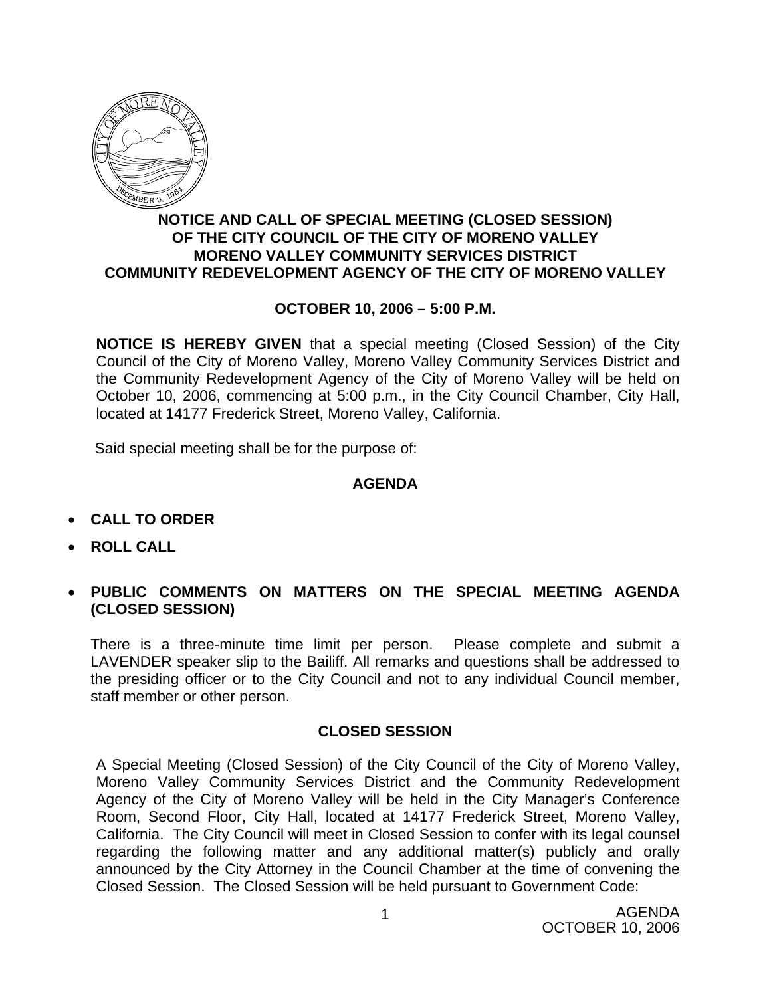

## **NOTICE AND CALL OF SPECIAL MEETING (CLOSED SESSION) OF THE CITY COUNCIL OF THE CITY OF MORENO VALLEY MORENO VALLEY COMMUNITY SERVICES DISTRICT COMMUNITY REDEVELOPMENT AGENCY OF THE CITY OF MORENO VALLEY**

## **OCTOBER 10, 2006 – 5:00 P.M.**

**NOTICE IS HEREBY GIVEN** that a special meeting (Closed Session) of the City Council of the City of Moreno Valley, Moreno Valley Community Services District and the Community Redevelopment Agency of the City of Moreno Valley will be held on October 10, 2006, commencing at 5:00 p.m., in the City Council Chamber, City Hall, located at 14177 Frederick Street, Moreno Valley, California.

Said special meeting shall be for the purpose of:

## **AGENDA**

- **CALL TO ORDER**
- **ROLL CALL**
- **PUBLIC COMMENTS ON MATTERS ON THE SPECIAL MEETING AGENDA (CLOSED SESSION)**

There is a three-minute time limit per person. Please complete and submit a LAVENDER speaker slip to the Bailiff. All remarks and questions shall be addressed to the presiding officer or to the City Council and not to any individual Council member, staff member or other person.

## **CLOSED SESSION**

A Special Meeting (Closed Session) of the City Council of the City of Moreno Valley, Moreno Valley Community Services District and the Community Redevelopment Agency of the City of Moreno Valley will be held in the City Manager's Conference Room, Second Floor, City Hall, located at 14177 Frederick Street, Moreno Valley, California. The City Council will meet in Closed Session to confer with its legal counsel regarding the following matter and any additional matter(s) publicly and orally announced by the City Attorney in the Council Chamber at the time of convening the Closed Session. The Closed Session will be held pursuant to Government Code: